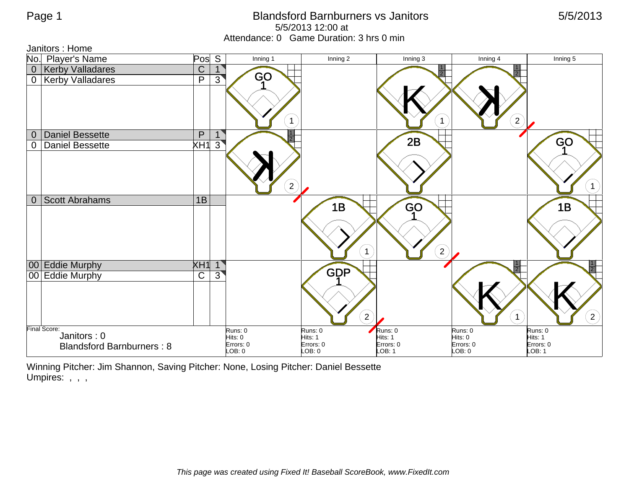## Page 1 **Blandsford Barnburners vs Janitors** 6/5/2013 5/5/2013 12:00 at Attendance: 0 Game Duration: 3 hrs 0 min

| Janitors : Home |                                  |                |                      |                         |                      |                      |                      |  |  |  |
|-----------------|----------------------------------|----------------|----------------------|-------------------------|----------------------|----------------------|----------------------|--|--|--|
|                 | No. Player's Name                | Pos            | S<br>Inning 1        | Inning 2                | Inning 3             | Inning 4             | Inning 5             |  |  |  |
| $\mathbf 0$     | <b>Kerby Valladares</b>          | $\mathsf C$    |                      |                         | $\overline{2}$       |                      |                      |  |  |  |
| $\mathbf 0$     | <b>Kerby Valladares</b>          | $\overline{P}$ | GO<br>$\overline{3}$ |                         |                      |                      |                      |  |  |  |
|                 |                                  |                |                      | $\mathbf{1}$            | $\mathbf 1$          | $\overline{2}$       |                      |  |  |  |
| $\overline{0}$  | <b>Daniel Bessette</b>           | $\overline{P}$ |                      |                         | 2B                   |                      |                      |  |  |  |
| $\overline{0}$  | <b>Daniel Bessette</b>           | $\times$ H1    | $\overline{3}$       |                         |                      |                      | GO                   |  |  |  |
|                 |                                  |                |                      | $\overline{2}$          |                      |                      | $\left( 1\right)$    |  |  |  |
| $\overline{0}$  | <b>Scott Abrahams</b>            | 1B             |                      | 1B                      | GO                   |                      | 1B                   |  |  |  |
|                 |                                  |                |                      | $\mathbf{1}$            | $\boxed{2}$          |                      |                      |  |  |  |
|                 | 00 Eddie Murphy                  | XH1            | $\mathbf{1}$         | <b>GDP</b>              |                      |                      | त्रा                 |  |  |  |
|                 | 00 Eddie Murphy                  | $\mathsf C$    | $3^{\circ}$          | $\overline{\mathbf{c}}$ |                      |                      | $\left( 2\right)$    |  |  |  |
|                 | Final Score:<br>Janitors: 0      |                | Runs: 0              | Runs: 0                 | Runs: 0              | Runs: 0              | Runs: 0              |  |  |  |
|                 | <b>Blandsford Barnburners: 8</b> |                | Hits: 0<br>Errors: 0 | Hits: 1<br>Errors: 0    | Hits: 1<br>Errors: 0 | Hits: 0<br>Errors: 0 | Hits: 1<br>Errors: 0 |  |  |  |
|                 |                                  |                | LOB: 0               | LOB: 0                  | LOB: 1               | LOB: 0               | LOB: 1               |  |  |  |

Winning Pitcher: Jim Shannon, Saving Pitcher: None, Losing Pitcher: Daniel Bessette Umpires: , , ,